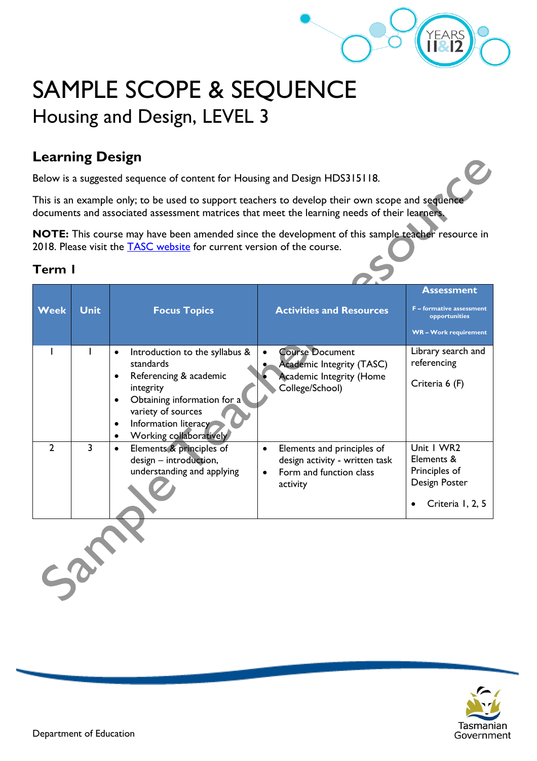

Z

# SAMPLE SCOPE & SEQUENCE Housing and Design, LEVEL 3

# **Learning Design**

Below is a suggested sequence of content for Housing and Design HDS315118.

This is an example only; to be used to support teachers to develop their own scope and sequence documents and associated assessment matrices that meet the learning needs of their learners.

**NOTE:** This course may have been amended since the development of this sample teacher resource in 2018. Please visit the **TASC** website for current version of the course.

| <b>Week</b>    | <b>Unit</b> | <b>Focus Topics</b>                                                                                                                                                                                                                                         | <b>Activities and Resources</b>                                                                                  | <b>Assessment</b><br><b>F</b> - formative assessment<br>opportunities<br><b>WR-Work requirement</b> |  |
|----------------|-------------|-------------------------------------------------------------------------------------------------------------------------------------------------------------------------------------------------------------------------------------------------------------|------------------------------------------------------------------------------------------------------------------|-----------------------------------------------------------------------------------------------------|--|
|                |             | Introduction to the syllabus &<br>$\bullet$<br>standards<br>Referencing & academic<br>$\bullet$<br>integrity<br>Obtaining information for a<br>$\bullet$<br>variety of sources<br>Information literacy<br>$\bullet$<br>Working collaboratively<br>$\bullet$ | <b>Course Document</b><br><b>Academic Integrity (TASC)</b><br><b>Academic Integrity (Home</b><br>College/School) | Library search and<br>referencing<br>Criteria 6 (F)                                                 |  |
| $\overline{2}$ | 3           | Elements & principles of<br>$\bullet$<br>design - introduction,<br>understanding and applying                                                                                                                                                               | Elements and principles of<br>$\bullet$<br>design activity - written task<br>Form and function class<br>activity | Unit   WR2<br>Elements &<br>Principles of<br>Design Poster<br>Criteria 1, 2, 5                      |  |
|                |             |                                                                                                                                                                                                                                                             |                                                                                                                  |                                                                                                     |  |

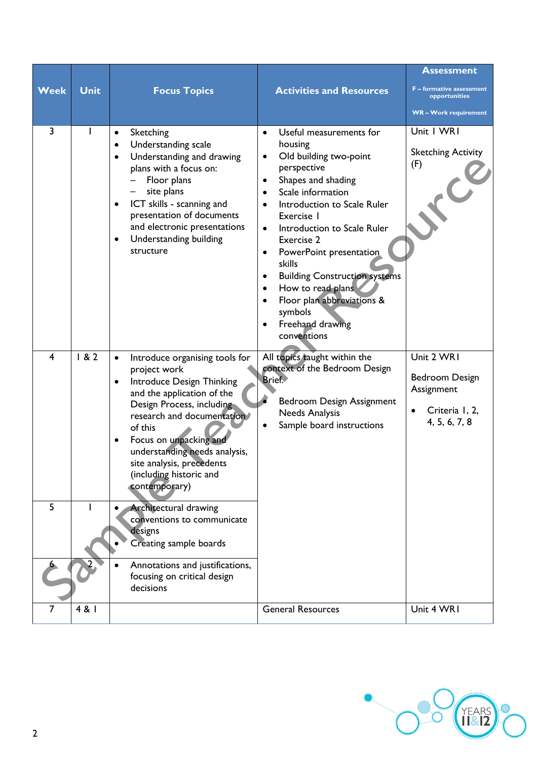| Week   | <b>Unit</b> | <b>Focus Topics</b>                                                                                                                                                                                                                                                                                                                                                                                                                                                                                                                          | <b>Activities and Resources</b>                                                                                                                                                                                                                                                                                                                                                                                                                                                                                                       | <b>Assessment</b><br><b>F</b> – formative assessment<br>opportunities<br>WR-Work requirement |
|--------|-------------|----------------------------------------------------------------------------------------------------------------------------------------------------------------------------------------------------------------------------------------------------------------------------------------------------------------------------------------------------------------------------------------------------------------------------------------------------------------------------------------------------------------------------------------------|---------------------------------------------------------------------------------------------------------------------------------------------------------------------------------------------------------------------------------------------------------------------------------------------------------------------------------------------------------------------------------------------------------------------------------------------------------------------------------------------------------------------------------------|----------------------------------------------------------------------------------------------|
| 3      |             | Sketching<br>$\bullet$<br>Understanding scale<br>$\bullet$<br>Understanding and drawing<br>$\bullet$<br>plans with a focus on:<br>Floor plans<br>site plans<br>ICT skills - scanning and<br>$\bullet$<br>presentation of documents<br>and electronic presentations<br>Understanding building<br>$\bullet$<br>structure                                                                                                                                                                                                                       | Useful measurements for<br>$\bullet$<br>housing<br>Old building two-point<br>$\bullet$<br>perspective<br>Shapes and shading<br>$\bullet$<br>Scale information<br>$\bullet$<br>Introduction to Scale Ruler<br>$\bullet$<br>Exercise I<br>Introduction to Scale Ruler<br>$\bullet$<br>Exercise 2<br>PowerPoint presentation<br>$\bullet$<br>skills<br><b>Building Construction systems</b><br>٠<br>How to read plans<br>$\bullet$<br>Floor plan abbreviations &<br>$\bullet$<br>symbols<br>Freehand drawing<br>$\bullet$<br>conventions | Unit I WRI<br><b>Sketching Activity</b><br>(F)                                               |
| 4<br>5 | 182         | Introduce organising tools for<br>$\bullet$<br>project work<br>Introduce Design Thinking<br>$\bullet$<br>and the application of the<br>Design Process, including<br>research and documentation<br>of this<br>Focus on unpacking and<br>$\bullet$<br>understanding needs analysis,<br>site analysis, precedents<br>(including historic and<br>contemporary)<br><b>Architectural drawing</b><br>conventions to communicate<br>designs<br>Creating sample boards<br>Annotations and justifications,<br>focusing on critical design<br>decisions | All topics taught within the<br>context of the Bedroom Design<br>Brief.<br>Bedroom Design Assignment<br><b>Needs Analysis</b><br>Sample board instructions<br>$\bullet$                                                                                                                                                                                                                                                                                                                                                               | Unit 2 WR1<br>Bedroom Design<br>Assignment<br>Criteria I, 2,<br>4, 5, 6, 7, 8                |
| 7      | 4 & 1       |                                                                                                                                                                                                                                                                                                                                                                                                                                                                                                                                              | <b>General Resources</b>                                                                                                                                                                                                                                                                                                                                                                                                                                                                                                              | Unit 4 WR1                                                                                   |

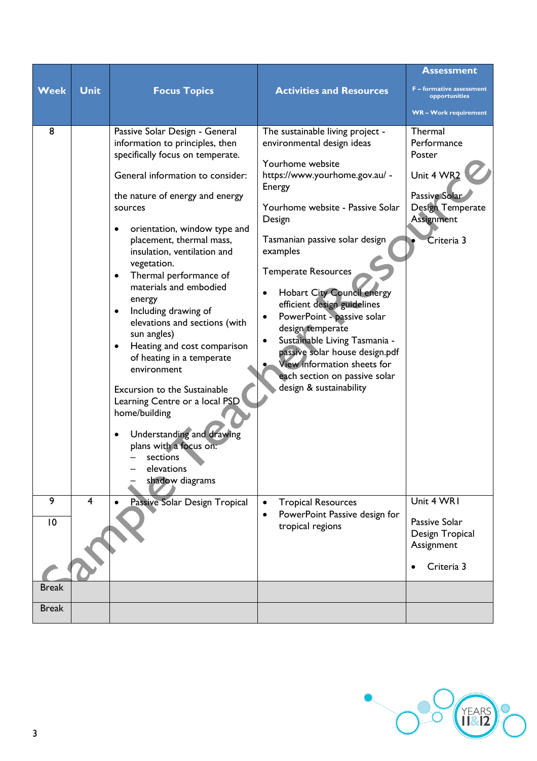| <b>Week</b>  | <b>Unit</b>    | <b>Focus Topics</b>                                                                                                                                                                                                                                                                                                                                                                                                                                                                                                                                                                                                                                                                                                                           | <b>Activities and Resources</b>                                                                                                                                                                                                                                                                                                                                                                                                                                                                                                                                                     | <b>Assessment</b><br><b>F</b> - formative assessment                                                                   |
|--------------|----------------|-----------------------------------------------------------------------------------------------------------------------------------------------------------------------------------------------------------------------------------------------------------------------------------------------------------------------------------------------------------------------------------------------------------------------------------------------------------------------------------------------------------------------------------------------------------------------------------------------------------------------------------------------------------------------------------------------------------------------------------------------|-------------------------------------------------------------------------------------------------------------------------------------------------------------------------------------------------------------------------------------------------------------------------------------------------------------------------------------------------------------------------------------------------------------------------------------------------------------------------------------------------------------------------------------------------------------------------------------|------------------------------------------------------------------------------------------------------------------------|
|              |                |                                                                                                                                                                                                                                                                                                                                                                                                                                                                                                                                                                                                                                                                                                                                               |                                                                                                                                                                                                                                                                                                                                                                                                                                                                                                                                                                                     | opportunities<br><b>WR-Work requirement</b>                                                                            |
| 8            |                | Passive Solar Design - General<br>information to principles, then<br>specifically focus on temperate.<br>General information to consider:<br>the nature of energy and energy<br>sources<br>orientation, window type and<br>٠<br>placement, thermal mass,<br>insulation, ventilation and<br>vegetation.<br>Thermal performance of<br>$\bullet$<br>materials and embodied<br>energy<br>Including drawing of<br>٠<br>elevations and sections (with<br>sun angles)<br>Heating and cost comparison<br>$\bullet$<br>of heating in a temperate<br>environment<br>Excursion to the Sustainable<br>Learning Centre or a local PSD<br>home/building<br>Understanding and drawing<br>plans with a focus on:<br>sections<br>elevations<br>shadow diagrams | The sustainable living project -<br>environmental design ideas<br>Yourhome website<br>https://www.yourhome.gov.au/ -<br>Energy<br>Yourhome website - Passive Solar<br>Design<br>Tasmanian passive solar design<br>examples<br><b>Temperate Resources</b><br><b>Hobart City Council energy</b><br>$\bullet$<br>efficient design guidelines<br>PowerPoint - passive solar<br>$\bullet$<br>design temperate<br>Sustainable Living Tasmania -<br>$\bullet$<br>passive solar house design.pdf<br>View information sheets for<br>each section on passive solar<br>design & sustainability | Thermal<br>Performance<br>Poster<br>Unit 4 WR2<br><b>Passive Solar</b><br>Design Temperate<br>Assignment<br>Criteria 3 |
| 9            | $\overline{4}$ | Passive Solar Design Tropical                                                                                                                                                                                                                                                                                                                                                                                                                                                                                                                                                                                                                                                                                                                 | <b>Tropical Resources</b><br>$\bullet$                                                                                                                                                                                                                                                                                                                                                                                                                                                                                                                                              | Unit 4 WR1                                                                                                             |
| 10           |                |                                                                                                                                                                                                                                                                                                                                                                                                                                                                                                                                                                                                                                                                                                                                               | PowerPoint Passive design for<br>$\bullet$<br>tropical regions                                                                                                                                                                                                                                                                                                                                                                                                                                                                                                                      | Passive Solar<br>Design Tropical<br>Assignment<br>Criteria 3                                                           |
| <b>Break</b> |                |                                                                                                                                                                                                                                                                                                                                                                                                                                                                                                                                                                                                                                                                                                                                               |                                                                                                                                                                                                                                                                                                                                                                                                                                                                                                                                                                                     |                                                                                                                        |
| <b>Break</b> |                |                                                                                                                                                                                                                                                                                                                                                                                                                                                                                                                                                                                                                                                                                                                                               |                                                                                                                                                                                                                                                                                                                                                                                                                                                                                                                                                                                     |                                                                                                                        |
|              |                |                                                                                                                                                                                                                                                                                                                                                                                                                                                                                                                                                                                                                                                                                                                                               |                                                                                                                                                                                                                                                                                                                                                                                                                                                                                                                                                                                     |                                                                                                                        |

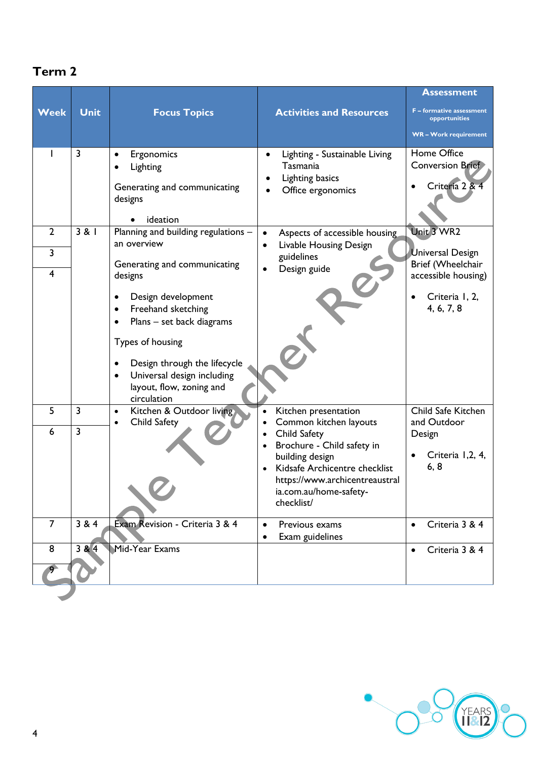| <b>Week</b>                               | <b>Unit</b>                  | <b>Focus Topics</b>                                                                                                                                                                                           | <b>Activities and Resources</b>                                                                                                                                                                                                         | <b>Assessment</b><br>F - formative assessment<br>opportunities<br><b>WR-Work requirement</b> |
|-------------------------------------------|------------------------------|---------------------------------------------------------------------------------------------------------------------------------------------------------------------------------------------------------------|-----------------------------------------------------------------------------------------------------------------------------------------------------------------------------------------------------------------------------------------|----------------------------------------------------------------------------------------------|
|                                           | 3                            | Ergonomics<br>Lighting<br>Generating and communicating<br>designs<br>ideation                                                                                                                                 | Lighting - Sustainable Living<br>Tasmania<br><b>Lighting basics</b><br>Office ergonomics                                                                                                                                                | Home Office<br><b>Conversion Brief</b><br>Criteria 2 & 4                                     |
| $\overline{2}$                            | 3 & 1                        | Planning and building regulations -<br>an overview                                                                                                                                                            | Aspects of accessible housing<br>Livable Housing Design                                                                                                                                                                                 | Unit 3 WR2                                                                                   |
| $\overline{3}$<br>$\overline{\mathbf{4}}$ | Generating and communicating | guidelines<br>Design guide                                                                                                                                                                                    | <b>Universal Design</b><br>Brief (Wheelchair                                                                                                                                                                                            |                                                                                              |
|                                           |                              | designs<br>Design development<br>Freehand sketching<br>Plans - set back diagrams<br>Types of housing<br>Design through the lifecycle<br>Universal design including<br>layout, flow, zoning and<br>circulation |                                                                                                                                                                                                                                         | accessible housing)<br>Criteria I, 2,<br>4, 6, 7, 8                                          |
| 5<br>6                                    | 3<br>$\overline{3}$          | Kitchen & Outdoor living<br>$\bullet$<br>Child Safety<br>$\bullet$                                                                                                                                            | Kitchen presentation<br>Common kitchen layouts<br>Child Safety<br>Brochure - Child safety in<br>building design<br>Kidsafe Archicentre checklist<br>$\bullet$<br>https://www.archicentreaustral<br>ia.com.au/home-safety-<br>checklist/ | Child Safe Kitchen<br>and Outdoor<br>Design<br>Criteria 1,2, 4,<br>6, 8                      |
| $\overline{7}$                            | 3 & 4                        | Exam Revision - Criteria 3 & 4                                                                                                                                                                                | Previous exams<br>Exam guidelines                                                                                                                                                                                                       | Criteria 3 & 4                                                                               |
| 8                                         | 384                          | Mid-Year Exams                                                                                                                                                                                                |                                                                                                                                                                                                                                         | Criteria 3 & 4<br>$\bullet$                                                                  |

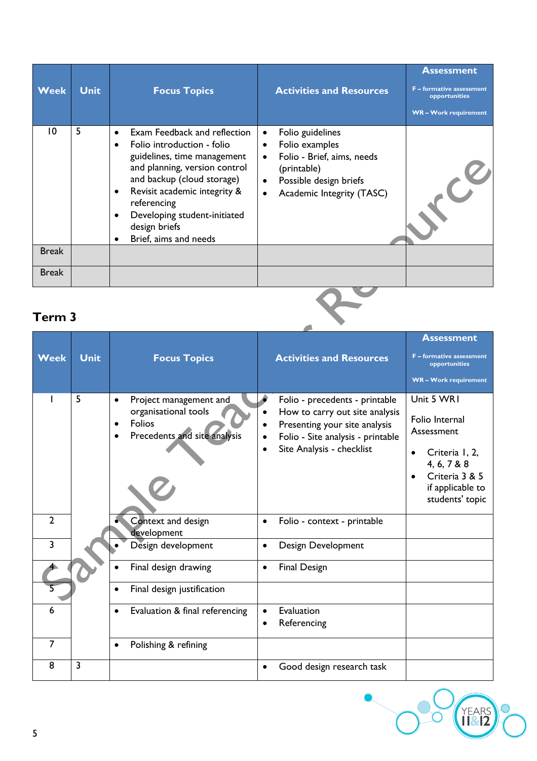| <b>Week</b>  | <b>Unit</b> | <b>Focus Topics</b>                                                                                                                                                                                                                                                                              | <b>Activities and Resources</b>                                                                                                                                               | <b>Assessment</b><br><b>F</b> – formative assessment<br>opportunities<br><b>WR-Work requirement</b> |
|--------------|-------------|--------------------------------------------------------------------------------------------------------------------------------------------------------------------------------------------------------------------------------------------------------------------------------------------------|-------------------------------------------------------------------------------------------------------------------------------------------------------------------------------|-----------------------------------------------------------------------------------------------------|
| 10           | 5           | Exam Feedback and reflection<br>Folio introduction - folio<br>٠<br>guidelines, time management<br>and planning, version control<br>and backup (cloud storage)<br>Revisit academic integrity &<br>٠<br>referencing<br>Developing student-initiated<br>٠<br>design briefs<br>Brief, aims and needs | Folio guidelines<br>$\bullet$<br>Folio examples<br>Folio - Brief, aims, needs<br>(printable)<br>Possible design briefs<br>$\bullet$<br>Academic Integrity (TASC)<br>$\bullet$ |                                                                                                     |
| <b>Break</b> |             |                                                                                                                                                                                                                                                                                                  |                                                                                                                                                                               |                                                                                                     |
| <b>Break</b> |             |                                                                                                                                                                                                                                                                                                  |                                                                                                                                                                               |                                                                                                     |

**COLLEGE** 

YEARS

|                |                |                                                                                                       |                                                                                                                                                                     | <b>Assessment</b>                                                                                                                                 |
|----------------|----------------|-------------------------------------------------------------------------------------------------------|---------------------------------------------------------------------------------------------------------------------------------------------------------------------|---------------------------------------------------------------------------------------------------------------------------------------------------|
| <b>Week</b>    | <b>Unit</b>    | <b>Focus Topics</b>                                                                                   | <b>Activities and Resources</b>                                                                                                                                     | <b>F</b> – formative assessment<br>opportunities<br><b>WR-Work requirement</b>                                                                    |
|                | 5              | Project management and<br>$\bullet$<br>organisational tools<br>Folios<br>Precedents and site analysis | Folio - precedents - printable<br>How to carry out site analysis<br>Presenting your site analysis<br>Folio - Site analysis - printable<br>Site Analysis - checklist | Unit 5 WR1<br>Folio Internal<br>Assessment<br>Criteria I, 2,<br>4, 6, 7 & 8<br>Criteria 3 & 5<br>$\bullet$<br>if applicable to<br>students' topic |
| $\overline{2}$ |                | Context and design<br>development                                                                     | Folio - context - printable                                                                                                                                         |                                                                                                                                                   |
| $\overline{3}$ |                | Design development                                                                                    | Design Development                                                                                                                                                  |                                                                                                                                                   |
|                |                | Final design drawing                                                                                  | <b>Final Design</b><br>$\bullet$                                                                                                                                    |                                                                                                                                                   |
|                |                | Final design justification                                                                            |                                                                                                                                                                     |                                                                                                                                                   |
| 6              |                | Evaluation & final referencing                                                                        | Evaluation<br>Referencing                                                                                                                                           |                                                                                                                                                   |
| 7              |                | Polishing & refining<br>$\bullet$                                                                     |                                                                                                                                                                     |                                                                                                                                                   |
| 8              | $\overline{3}$ |                                                                                                       | Good design research task                                                                                                                                           |                                                                                                                                                   |